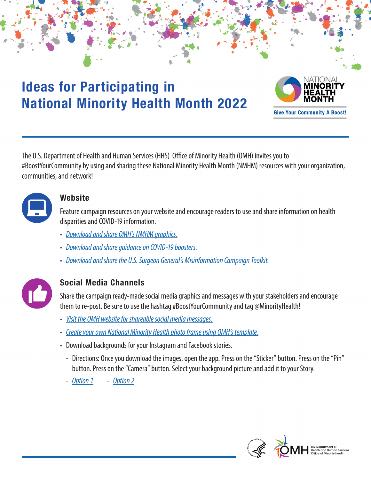# **Ideas for Participating in National Minority Health Month 2022**



The U.S. Department of Health and Human Services (HHS) Office of Minority Health (OMH) invites you to #BoostYourCommunity by using and sharing these National Minority Health Month (NMHM) resources with your organization, communities, and network!



## **Website**

Feature campaign resources on your website and encourage readers to use and share information on health disparities and COVID-19 information.

- *[Download and share OMH's NMHM graphics.](https://www.minorityhealth.hhs.gov/nmhm/shareable-graphics/)*
- *[Download and share guidance on COVID-19 boosters.](https://www.minorityhealth.hhs.gov/nmhm/assets/pdf/Protection_a_Boost_Poster_COVID_Vaccine_Booster_LatinoAdults_1.10.22_508c.pdf)*
- *[Download and share the U.S. Surgeon General's Misinformation Campaign Toolkit.](https://www.hhs.gov/sites/default/files/health-misinformation-toolkit-english.pdf)*



# **Social Media Channels**

Share the campaign ready-made social media graphics and messages with your stakeholders and encourage them to re-post. Be sure to use the hashtag #BoostYourCommunity and tag @MinorityHealth!

- *[Visit the OMH website for shareable social media messages.](https://www.minorityhealth.hhs.gov/nmhm/social-media/)*
- *[Create your own National Minority Health photo frame using OMH's template.](https://www.minorityhealth.hhs.gov/nmhm/assets/templates/NMHM 2022 Graphic Template_Final_Eng.pptx)*
- Download backgrounds for your Instagram and Facebook stories.
	- Directions: Once you download the images, open the app. Press on the "Sticker" button. Press on the "Pin" button. Press on the "Camera" button. Select your background picture and add it to your Story.
	- *[Option 1](https://www.minorityhealth.hhs.gov/nmhm/assets/templates/nmhm 2022 story templates_v1 eng.png) [Option 2](https://www.minorityhealth.hhs.gov/nmhm/assets/templates/nmhm 2022 story templates_v2 eng.png)*